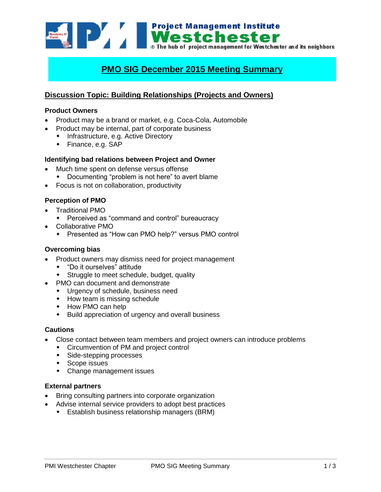Westchester and its neighbors of the hub of project management for Westchester and its neighbors **Project Management Institute** 

# **PMO SIG December 2015 Meeting Summary**

## **Discussion Topic: Building Relationships (Projects and Owners)**

#### **Product Owners**

- Product may be a brand or market, e.g. Coca-Cola, Automobile
- Product may be internal, part of corporate business
	- Infrastructure, e.g. Active Directory
	- Finance, e.g. SAP

### **Identifying bad relations between Project and Owner**

- Much time spent on defense versus offense
	- Documenting "problem is not here" to avert blame
- Focus is not on collaboration, productivity

### **Perception of PMO**

- Traditional PMO
	- Perceived as "command and control" bureaucracy
- Collaborative PMO
	- Presented as "How can PMO help?" versus PMO control

#### **Overcoming bias**

- Product owners may dismiss need for project management
	- "Do it ourselves" attitude
	- Struggle to meet schedule, budget, quality
- PMO can document and demonstrate
	- Urgency of schedule, business need
	- $\leftrightarrow$  How team is missing schedule
	- How PMO can help
	- Build appreciation of urgency and overall business

#### **Cautions**

- Close contact between team members and project owners can introduce problems
	- Circumvention of PM and project control
	- Side-stepping processes
	- ◆ Scope issues
	- Change management issues

## **External partners**

- Bring consulting partners into corporate organization
- Advise internal service providers to adopt best practices
	- Establish business relationship managers (BRM)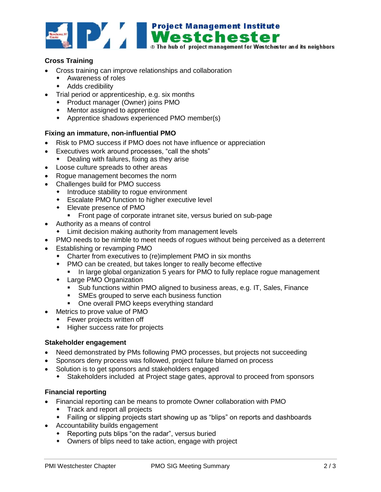

## **Cross Training**

- Cross training can improve relationships and collaboration
	- Awareness of roles
	- **Adds credibility**
- Trial period or apprenticeship, e.g. six months
	- Product manager (Owner) joins PMO
	- Mentor assigned to apprentice
	- Apprentice shadows experienced PMO member(s)

## **Fixing an immature, non-influential PMO**

- Risk to PMO success if PMO does not have influence or appreciation
- Executives work around processes, "call the shots"
	- Dealing with failures, fixing as they arise
- Loose culture spreads to other areas
- Rogue management becomes the norm
- Challenges build for PMO success
	- $\bullet$  Introduce stability to rogue environment
	- Escalate PMO function to higher executive level
	- Elevate presence of PMO
		- **Front page of corporate intranet site, versus buried on sub-page**
- Authority as a means of control
	- Limit decision making authority from management levels
- PMO needs to be nimble to meet needs of rogues without being perceived as a deterrent
- Establishing or revamping PMO
	- Charter from executives to (re)implement PMO in six months
	- PMO can be created, but takes longer to really become effective
		- In large global organization 5 years for PMO to fully replace rogue management
	- Large PMO Organization
		- Sub functions within PMO aligned to business areas, e.g. IT, Sales, Finance
		- **SMEs grouped to serve each business function**
		- One overall PMO keeps everything standard
- Metrics to prove value of PMO
	- Fewer projects written off
	- Higher success rate for projects

#### **Stakeholder engagement**

- Need demonstrated by PMs following PMO processes, but projects not succeeding
- Sponsors deny process was followed, project failure blamed on process
- Solution is to get sponsors and stakeholders engaged
	- Stakeholders included at Project stage gates, approval to proceed from sponsors

## **Financial reporting**

- Financial reporting can be means to promote Owner collaboration with PMO
	- Track and report all projects
	- Failing or slipping projects start showing up as "blips" on reports and dashboards
- Accountability builds engagement
	- Reporting puts blips "on the radar", versus buried
	- Owners of blips need to take action, engage with project